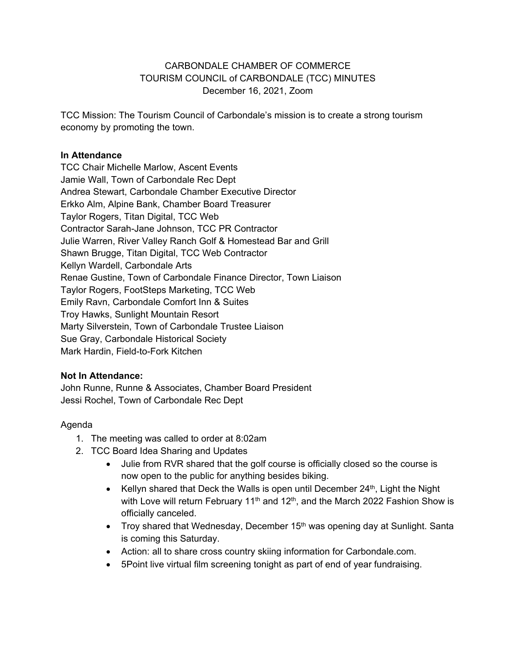# CARBONDALE CHAMBER OF COMMERCE TOURISM COUNCIL of CARBONDALE (TCC) MINUTES December 16, 2021, Zoom

TCC Mission: The Tourism Council of Carbondale's mission is to create a strong tourism economy by promoting the town.

#### **In Attendance**

TCC Chair Michelle Marlow, Ascent Events Jamie Wall, Town of Carbondale Rec Dept Andrea Stewart, Carbondale Chamber Executive Director Erkko Alm, Alpine Bank, Chamber Board Treasurer Taylor Rogers, Titan Digital, TCC Web Contractor Sarah-Jane Johnson, TCC PR Contractor Julie Warren, River Valley Ranch Golf & Homestead Bar and Grill Shawn Brugge, Titan Digital, TCC Web Contractor Kellyn Wardell, Carbondale Arts Renae Gustine, Town of Carbondale Finance Director, Town Liaison Taylor Rogers, FootSteps Marketing, TCC Web Emily Ravn, Carbondale Comfort Inn & Suites Troy Hawks, Sunlight Mountain Resort Marty Silverstein, Town of Carbondale Trustee Liaison Sue Gray, Carbondale Historical Society Mark Hardin, Field-to-Fork Kitchen

#### **Not In Attendance:**

John Runne, Runne & Associates, Chamber Board President Jessi Rochel, Town of Carbondale Rec Dept

# Agenda

- 1. The meeting was called to order at 8:02am
- 2. TCC Board Idea Sharing and Updates
	- Julie from RVR shared that the golf course is officially closed so the course is now open to the public for anything besides biking.
	- Kellyn shared that Deck the Walls is open until December  $24<sup>th</sup>$ , Light the Night with Love will return February 11<sup>th</sup> and 12<sup>th</sup>, and the March 2022 Fashion Show is officially canceled.
	- Troy shared that Wednesday, December  $15<sup>th</sup>$  was opening day at Sunlight. Santa is coming this Saturday.
	- Action: all to share cross country skiing information for Carbondale.com.
	- 5Point live virtual film screening tonight as part of end of year fundraising.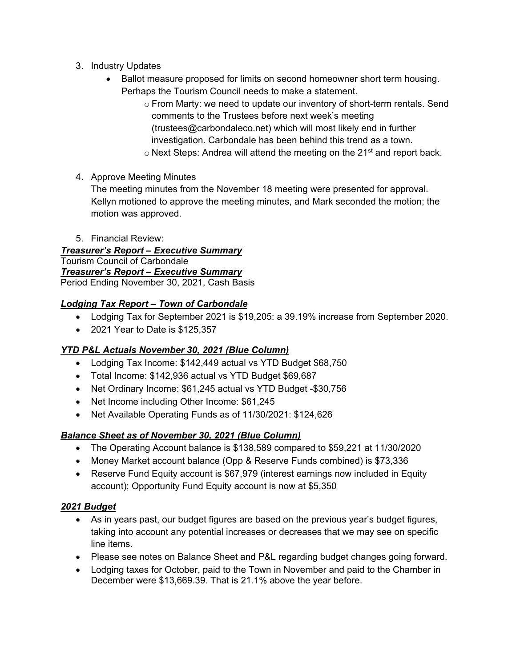- 3. Industry Updates
	- Ballot measure proposed for limits on second homeowner short term housing. Perhaps the Tourism Council needs to make a statement.
		- o From Marty: we need to update our inventory of short-term rentals. Send comments to the Trustees before next week's meeting (trustees@carbondaleco.net) which will most likely end in further investigation. Carbondale has been behind this trend as a town.
		- $\circ$  Next Steps: Andrea will attend the meeting on the 21<sup>st</sup> and report back.
- 4. Approve Meeting Minutes

The meeting minutes from the November 18 meeting were presented for approval. Kellyn motioned to approve the meeting minutes, and Mark seconded the motion; the motion was approved.

5. Financial Review:

*Treasurer's Report – Executive Summary* Tourism Council of Carbondale *Treasurer's Report – Executive Summary* Period Ending November 30, 2021, Cash Basis

# *Lodging Tax Report – Town of Carbondale*

- Lodging Tax for September 2021 is \$19,205: a 39.19% increase from September 2020.
- 2021 Year to Date is \$125,357

# *YTD P&L Actuals November 30, 2021 (Blue Column)*

- Lodging Tax Income: \$142,449 actual vs YTD Budget \$68,750
- Total Income: \$142,936 actual vs YTD Budget \$69,687
- Net Ordinary Income: \$61,245 actual vs YTD Budget -\$30,756
- Net Income including Other Income: \$61,245
- Net Available Operating Funds as of 11/30/2021: \$124,626

# *Balance Sheet as of November 30, 2021 (Blue Column)*

- The Operating Account balance is \$138,589 compared to \$59,221 at 11/30/2020
- Money Market account balance (Opp & Reserve Funds combined) is \$73,336
- Reserve Fund Equity account is \$67,979 (interest earnings now included in Equity account); Opportunity Fund Equity account is now at \$5,350

# *2021 Budget*

- As in years past, our budget figures are based on the previous year's budget figures, taking into account any potential increases or decreases that we may see on specific line items.
- Please see notes on Balance Sheet and P&L regarding budget changes going forward.
- Lodging taxes for October, paid to the Town in November and paid to the Chamber in December were \$13,669.39. That is 21.1% above the year before.